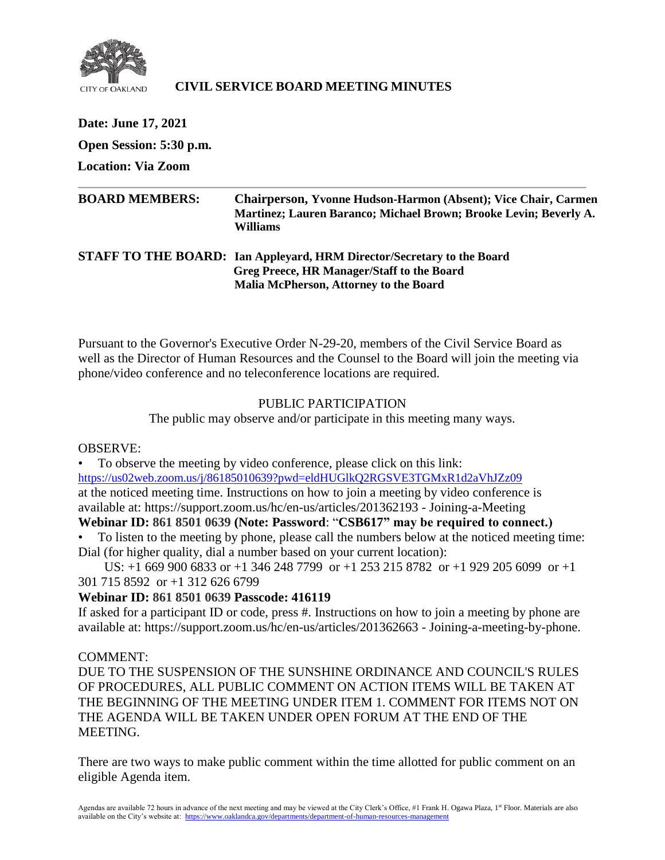

# **CIVIL SERVICE BOARD MEETING MINUTES**

**Date: June 17, 2021 Open Session: 5:30 p.m. Location: Via Zoom BOARD MEMBERS: Chairperson, Yvonne Hudson-Harmon (Absent); Vice Chair, Carmen Martinez; Lauren Baranco; Michael Brown; Brooke Levin; Beverly A. Williams STAFF TO THE BOARD: Ian Appleyard, HRM Director/Secretary to the Board Greg Preece, HR Manager/Staff to the Board**

**Malia McPherson, Attorney to the Board**

Pursuant to the Governor's Executive Order N-29-20, members of the Civil Service Board as well as the Director of Human Resources and the Counsel to the Board will join the meeting via phone/video conference and no teleconference locations are required.

# PUBLIC PARTICIPATION

The public may observe and/or participate in this meeting many ways.

#### OBSERVE:

• To observe the meeting by video conference, please click on this link: <https://us02web.zoom.us/j/86185010639?pwd=eldHUGlkQ2RGSVE3TGMxR1d2aVhJZz09> at the noticed meeting time. Instructions on how to join a meeting by video conference is available at: https://support.zoom.us/hc/en-us/articles/201362193 - Joining-a-Meeting

# **Webinar ID: 861 8501 0639 (Note: Password**: "**CSB617" may be required to connect.)**

• To listen to the meeting by phone, please call the numbers below at the noticed meeting time: Dial (for higher quality, dial a number based on your current location):

 US: +1 669 900 6833 or +1 346 248 7799 or +1 253 215 8782 or +1 929 205 6099 or +1 301 715 8592 or +1 312 626 6799

# **Webinar ID: 861 8501 0639 Passcode: 416119**

If asked for a participant ID or code, press #. Instructions on how to join a meeting by phone are available at: https://support.zoom.us/hc/en-us/articles/201362663 - Joining-a-meeting-by-phone.

#### COMMENT:

DUE TO THE SUSPENSION OF THE SUNSHINE ORDINANCE AND COUNCIL'S RULES OF PROCEDURES, ALL PUBLIC COMMENT ON ACTION ITEMS WILL BE TAKEN AT THE BEGINNING OF THE MEETING UNDER ITEM 1. COMMENT FOR ITEMS NOT ON THE AGENDA WILL BE TAKEN UNDER OPEN FORUM AT THE END OF THE MEETING.

There are two ways to make public comment within the time allotted for public comment on an eligible Agenda item.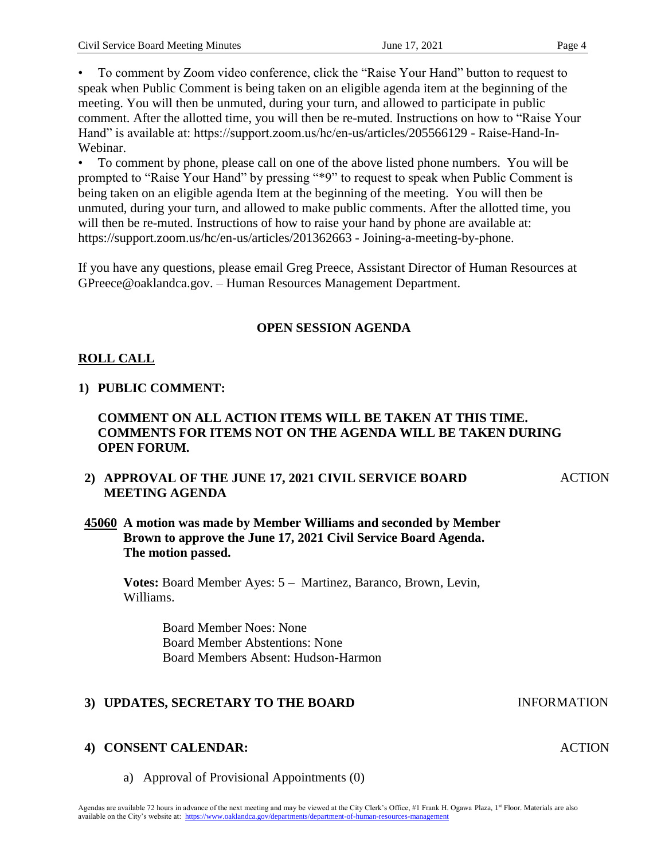• To comment by Zoom video conference, click the "Raise Your Hand" button to request to speak when Public Comment is being taken on an eligible agenda item at the beginning of the meeting. You will then be unmuted, during your turn, and allowed to participate in public comment. After the allotted time, you will then be re-muted. Instructions on how to "Raise Your Hand" is available at: https://support.zoom.us/hc/en-us/articles/205566129 - Raise-Hand-In-Webinar.

• To comment by phone, please call on one of the above listed phone numbers. You will be prompted to "Raise Your Hand" by pressing "\*9" to request to speak when Public Comment is being taken on an eligible agenda Item at the beginning of the meeting. You will then be unmuted, during your turn, and allowed to make public comments. After the allotted time, you will then be re-muted. Instructions of how to raise your hand by phone are available at: https://support.zoom.us/hc/en-us/articles/201362663 - Joining-a-meeting-by-phone.

If you have any questions, please email Greg Preece, Assistant Director of Human Resources at GPreece@oaklandca.gov. – Human Resources Management Department.

### **OPEN SESSION AGENDA**

# **ROLL CALL**

# **1) PUBLIC COMMENT:**

### **COMMENT ON ALL ACTION ITEMS WILL BE TAKEN AT THIS TIME. COMMENTS FOR ITEMS NOT ON THE AGENDA WILL BE TAKEN DURING OPEN FORUM.**

# **2) APPROVAL OF THE JUNE 17, 2021 CIVIL SERVICE BOARD MEETING AGENDA**

**ACTION** 

**ACTION** 

# **45060 A motion was made by Member Williams and seconded by Member Brown to approve the June 17, 2021 Civil Service Board Agenda. The motion passed.**

**Votes:** Board Member Ayes: 5 – Martinez, Baranco, Brown, Levin, Williams.

> Board Member Noes: None Board Member Abstentions: None Board Members Absent: Hudson-Harmon

# **3) UPDATES, SECRETARY TO THE BOARD INFORMATION**

# **4) CONSENT CALENDAR:**

a) Approval of Provisional Appointments (0)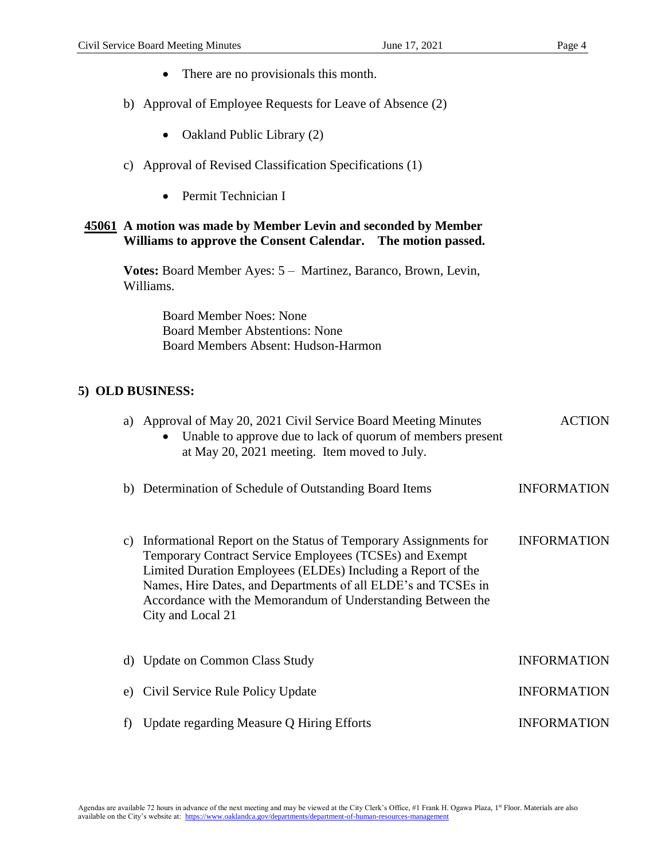- There are no provisionals this month.
- b) Approval of Employee Requests for Leave of Absence (2)
	- Oakland Public Library (2)
- c) Approval of Revised Classification Specifications (1)
	- Permit Technician I

#### **45061 A motion was made by Member Levin and seconded by Member Williams to approve the Consent Calendar. The motion passed.**

**Votes:** Board Member Ayes: 5 – Martinez, Baranco, Brown, Levin, Williams.

> Board Member Noes: None Board Member Abstentions: None Board Members Absent: Hudson-Harmon

### **5) OLD BUSINESS:**

| a) | Approval of May 20, 2021 Civil Service Board Meeting Minutes<br>Unable to approve due to lack of quorum of members present<br>at May 20, 2021 meeting. Item moved to July.                                                                                                                                                                      | <b>ACTION</b>      |
|----|-------------------------------------------------------------------------------------------------------------------------------------------------------------------------------------------------------------------------------------------------------------------------------------------------------------------------------------------------|--------------------|
|    | b) Determination of Schedule of Outstanding Board Items                                                                                                                                                                                                                                                                                         | <b>INFORMATION</b> |
| C) | Informational Report on the Status of Temporary Assignments for<br>Temporary Contract Service Employees (TCSEs) and Exempt<br>Limited Duration Employees (ELDEs) Including a Report of the<br>Names, Hire Dates, and Departments of all ELDE's and TCSEs in<br>Accordance with the Memorandum of Understanding Between the<br>City and Local 21 | <b>INFORMATION</b> |
|    | d) Update on Common Class Study                                                                                                                                                                                                                                                                                                                 | <b>INFORMATION</b> |
| e) | Civil Service Rule Policy Update                                                                                                                                                                                                                                                                                                                | <b>INFORMATION</b> |
|    | Update regarding Measure Q Hiring Efforts                                                                                                                                                                                                                                                                                                       | <b>INFORMATION</b> |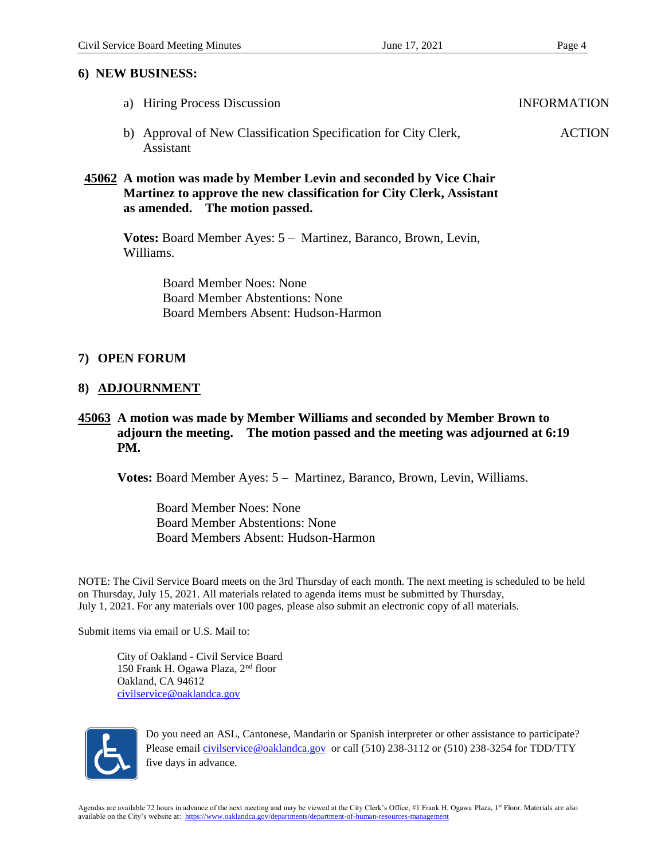#### **6) NEW BUSINESS:**

- a) Hiring Process Discussion INFORMATION
- b) Approval of New Classification Specification for City Clerk, Assistant ACTION

### **45062 A motion was made by Member Levin and seconded by Vice Chair Martinez to approve the new classification for City Clerk, Assistant as amended. The motion passed.**

**Votes:** Board Member Ayes: 5 – Martinez, Baranco, Brown, Levin, Williams.

> Board Member Noes: None Board Member Abstentions: None Board Members Absent: Hudson-Harmon

### **7) OPEN FORUM**

#### **8) ADJOURNMENT**

### **45063 A motion was made by Member Williams and seconded by Member Brown to adjourn the meeting. The motion passed and the meeting was adjourned at 6:19 PM.**

**Votes:** Board Member Ayes: 5 – Martinez, Baranco, Brown, Levin, Williams.

Board Member Noes: None Board Member Abstentions: None Board Members Absent: Hudson-Harmon

NOTE: The Civil Service Board meets on the 3rd Thursday of each month. The next meeting is scheduled to be held on Thursday, July 15, 2021. All materials related to agenda items must be submitted by Thursday, July 1, 2021. For any materials over 100 pages, please also submit an electronic copy of all materials.

Submit items via email or U.S. Mail to:

City of Oakland - Civil Service Board 150 Frank H. Ogawa Plaza, 2nd floor Oakland, CA 94612 [civilservice@oaklandca.gov](about:blank)



Do you need an ASL, Cantonese, Mandarin or Spanish interpreter or other assistance to participate? Please email [civilservice@oaklandca.gov](about:blank) or call (510) 238-3112 or (510) 238-3254 for TDD/TTY five days in advance.